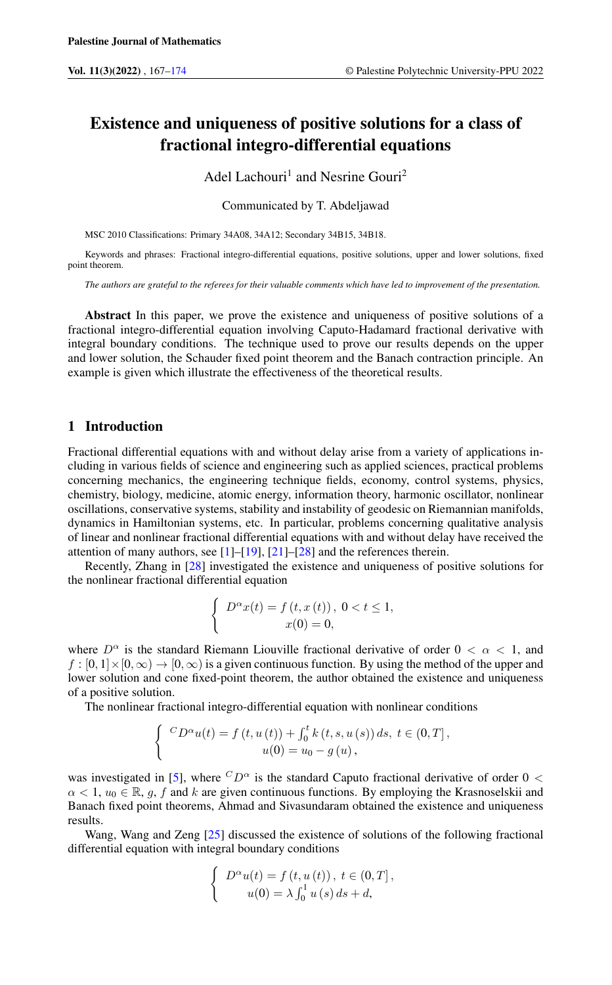# Existence and uniqueness of positive solutions for a class of fractional integro-differential equations

Adel Lachouri<sup>1</sup> and Nesrine Gouri<sup>2</sup>

Communicated by T. Abdeljawad

MSC 2010 Classifications: Primary 34A08, 34A12; Secondary 34B15, 34B18.

Keywords and phrases: Fractional integro-differential equations, positive solutions, upper and lower solutions, fixed point theorem.

*The authors are grateful to the referees for their valuable comments which have led to improvement of the presentation.*

Abstract In this paper, we prove the existence and uniqueness of positive solutions of a fractional integro-differential equation involving Caputo-Hadamard fractional derivative with integral boundary conditions. The technique used to prove our results depends on the upper and lower solution, the Schauder fixed point theorem and the Banach contraction principle. An example is given which illustrate the effectiveness of the theoretical results.

# 1 Introduction

Fractional differential equations with and without delay arise from a variety of applications including in various fields of science and engineering such as applied sciences, practical problems concerning mechanics, the engineering technique fields, economy, control systems, physics, chemistry, biology, medicine, atomic energy, information theory, harmonic oscillator, nonlinear oscillations, conservative systems, stability and instability of geodesic on Riemannian manifolds, dynamics in Hamiltonian systems, etc. In particular, problems concerning qualitative analysis of linear and nonlinear fractional differential equations with and without delay have received the attention of many authors, see [\[1\]](#page-6-1)–[\[19\]](#page-7-0), [\[21\]](#page-7-1)–[\[28\]](#page-7-2) and the references therein.

Recently, Zhang in [\[28\]](#page-7-2) investigated the existence and uniqueness of positive solutions for the nonlinear fractional differential equation

$$
\begin{cases}\nD^{\alpha}x(t) = f(t, x(t)), \ 0 < t \le 1, \\
x(0) = 0,\n\end{cases}
$$

where  $D^{\alpha}$  is the standard Riemann Liouville fractional derivative of order  $0 < \alpha < 1$ , and  $f : [0, 1] \times [0, \infty) \to [0, \infty)$  is a given continuous function. By using the method of the upper and lower solution and cone fixed-point theorem, the author obtained the existence and uniqueness of a positive solution.

The nonlinear fractional integro-differential equation with nonlinear conditions

$$
\begin{cases} C D^{\alpha}u(t) = f(t, u(t)) + \int_0^t k(t, s, u(s)) ds, t \in (0, T], \\ u(0) = u_0 - g(u), \end{cases}
$$

was investigated in [\[5\]](#page-6-2), where  ${}^C D^{\alpha}$  is the standard Caputo fractional derivative of order 0 <  $\alpha < 1, u_0 \in \mathbb{R}, g, f$  and k are given continuous functions. By employing the Krasnoselskii and Banach fixed point theorems, Ahmad and Sivasundaram obtained the existence and uniqueness results.

Wang, Wang and Zeng [\[25\]](#page-7-3) discussed the existence of solutions of the following fractional differential equation with integral boundary conditions

$$
\begin{cases}\nD^{\alpha}u(t) = f(t, u(t)), t \in (0, T], \\
u(0) = \lambda \int_0^1 u(s) \, ds + d,\n\end{cases}
$$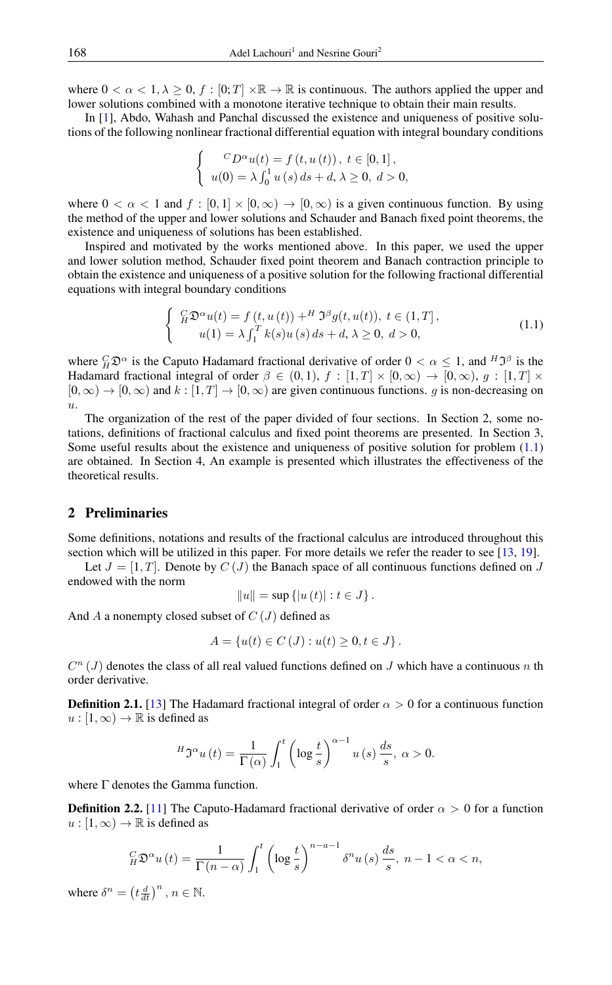where  $0 < \alpha < 1, \lambda \ge 0$ ,  $f : [0; T] \times \mathbb{R} \to \mathbb{R}$  is continuous. The authors applied the upper and lower solutions combined with a monotone iterative technique to obtain their main results.

In [\[1\]](#page-6-1), Abdo, Wahash and Panchal discussed the existence and uniqueness of positive solutions of the following nonlinear fractional differential equation with integral boundary conditions

$$
\begin{cases} C D^{\alpha}u(t) = f(t, u(t)), t \in [0, 1], \\ u(0) = \lambda \int_0^1 u(s) ds + d, \lambda \ge 0, d > 0, \end{cases}
$$

where  $0 < \alpha < 1$  and  $f : [0, 1] \times [0, \infty) \rightarrow [0, \infty)$  is a given continuous function. By using the method of the upper and lower solutions and Schauder and Banach fixed point theorems, the existence and uniqueness of solutions has been established.

Inspired and motivated by the works mentioned above. In this paper, we used the upper and lower solution method, Schauder fixed point theorem and Banach contraction principle to obtain the existence and uniqueness of a positive solution for the following fractional differential equations with integral boundary conditions

<span id="page-1-0"></span>
$$
\begin{cases} G_H \mathfrak{D}^{\alpha} u(t) = f(t, u(t)) + H \mathfrak{I}^{\beta} g(t, u(t)), \ t \in (1, T], \\ u(1) = \lambda \int_1^T k(s) u(s) \, ds + d, \ \lambda \ge 0, \ d > 0, \end{cases}
$$
 (1.1)

where  ${}^C_H\mathfrak{D}^\alpha$  is the Caputo Hadamard fractional derivative of order  $0 < \alpha \leq 1$ , and  ${}^H\mathfrak{I}^\beta$  is the Hadamard fractional integral of order  $\beta \in (0,1)$ ,  $f : [1, T] \times [0, \infty) \rightarrow [0, \infty)$ ,  $g : [1, T] \times$  $[0, \infty) \to [0, \infty)$  and  $k : [1, T] \to [0, \infty)$  are given continuous functions. g is non-decreasing on  $\overline{u}$ .

The organization of the rest of the paper divided of four sections. In Section 2, some notations, definitions of fractional calculus and fixed point theorems are presented. In Section 3, Some useful results about the existence and uniqueness of positive solution for problem [\(1.1\)](#page-1-0) are obtained. In Section 4, An example is presented which illustrates the effectiveness of the theoretical results.

# 2 Preliminaries

Some definitions, notations and results of the fractional calculus are introduced throughout this section which will be utilized in this paper. For more details we refer the reader to see [\[13,](#page-7-4) [19\]](#page-7-0).

Let  $J = [1, T]$ . Denote by  $C(J)$  the Banach space of all continuous functions defined on J endowed with the norm

$$
||u|| = \sup\left\{ |u(t)| : t \in J \right\}.
$$

And A a nonempty closed subset of  $C(J)$  defined as

$$
A = \{u(t) \in C \,(J) : u(t) \ge 0, t \in J\}.
$$

 $C^{n}(J)$  denotes the class of all real valued functions defined on J which have a continuous n th order derivative.

**Definition 2.1.** [\[13\]](#page-7-4) The Hadamard fractional integral of order  $\alpha > 0$  for a continuous function  $u : [1, \infty) \to \mathbb{R}$  is defined as

$$
{}^{H}\mathfrak{I}^{\alpha}u(t) = \frac{1}{\Gamma(\alpha)} \int_{1}^{t} \left(\log \frac{t}{s}\right)^{\alpha-1} u(s) \frac{ds}{s}, \alpha > 0.
$$

where Γ denotes the Gamma function.

**Definition 2.2.** [\[11\]](#page-6-3) The Caputo-Hadamard fractional derivative of order  $\alpha > 0$  for a function  $u : [1, \infty) \to \mathbb{R}$  is defined as

$$
{}_{H}^{C} \mathfrak{D}^{\alpha} u(t) = \frac{1}{\Gamma(n-\alpha)} \int_{1}^{t} \left( \log \frac{t}{s} \right)^{n-a-1} \delta^{n} u(s) \frac{ds}{s}, \ n-1 < \alpha < n,
$$

where  $\delta^n = \left(t \frac{d}{dt}\right)^n$ ,  $n \in \mathbb{N}$ .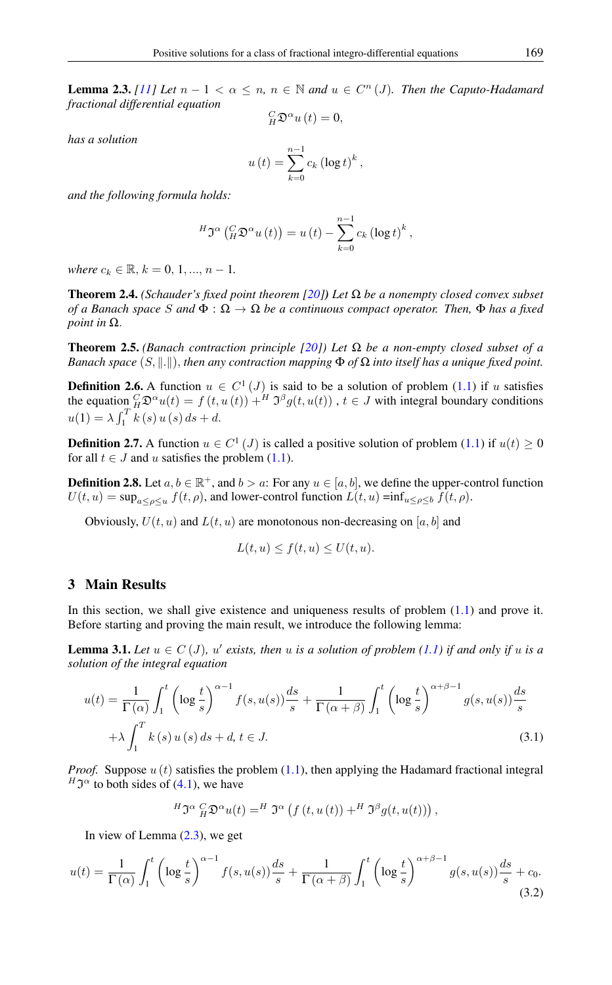<span id="page-2-0"></span>**Lemma 2.3.** [\[11\]](#page-6-3) Let  $n - 1 < \alpha \leq n$ ,  $n \in \mathbb{N}$  and  $u \in C^n(J)$ . Then the Caputo-Hadamard *fractional differential equation*

$$
{}_{H}^{C}\mathfrak{D}^{\alpha}u(t)=0,
$$

*has a solution*

$$
u(t) = \sum_{k=0}^{n-1} c_k \left(\log t\right)^k,
$$

*and the following formula holds:*

$$
{}^{H}\mathfrak{I}^{\alpha}\left({}_{H}^{C}\mathfrak{D}^{\alpha}u\left(t\right)\right) = u\left(t\right) - \sum_{k=0}^{n-1} c_{k} \left(\log t\right)^{k},
$$

*where*  $c_k \in \mathbb{R}, k = 0, 1, ..., n - 1$ *.* 

**Theorem 2.4.** *(Schauder's fixed point theorem [\[20\]](#page-7-5))* Let  $\Omega$  be a nonempty closed convex subset *of a Banach space* S and  $\Phi : \Omega \to \Omega$  *be a continuous compact operator. Then,*  $\Phi$  *has a fixed point in* Ω.

<span id="page-2-3"></span>Theorem 2.5. *(Banach contraction principle [\[20\]](#page-7-5)) Let* Ω *be a non-empty closed subset of a Banach space*  $(S, \|\. \|)$ , *then any contraction mapping*  $\Phi$  *of*  $\Omega$  *into itself has a unique fixed point.* 

**Definition 2.6.** A function  $u \in C^1(J)$  is said to be a solution of problem [\(1.1\)](#page-1-0) if u satisfies the equation  ${}_{H}^{C} \mathfrak{D}^{\alpha} u(t) = f(t, u(t)) + H \mathfrak{I}^{\beta} g(t, u(t))$ ,  $t \in J$  with integral boundary conditions  $u(1) = \lambda \int_1^T k(s) u(s) ds + d.$ 

**Definition 2.7.** A function  $u \in C^1(J)$  is called a positive solution of problem [\(1.1\)](#page-1-0) if  $u(t) \ge 0$ for all  $t \in J$  and u satisfies the problem [\(1.1\)](#page-1-0).

**Definition 2.8.** Let  $a, b \in \mathbb{R}^+$ , and  $b > a$ : For any  $u \in [a, b]$ , we define the upper-control function  $U(t, u) = \sup_{a \le \rho \le u} f(t, \rho)$ , and lower-control function  $L(t, u) = \inf_{u \le \rho \le b} f(t, \rho)$ .

Obviously,  $U(t, u)$  and  $L(t, u)$  are monotonous non-decreasing on [a, b] and

<span id="page-2-2"></span>
$$
L(t, u) \le f(t, u) \le U(t, u).
$$

# 3 Main Results

In this section, we shall give existence and uniqueness results of problem  $(1.1)$  and prove it. Before starting and proving the main result, we introduce the following lemma:

**Lemma 3.1.** Let  $u \in C(J)$ ,  $u'$  exists, then  $u$  is a solution of problem [\(1.1\)](#page-1-0) if and only if  $u$  is a *solution of the integral equation*

$$
u(t) = \frac{1}{\Gamma(\alpha)} \int_1^t \left( \log \frac{t}{s} \right)^{\alpha - 1} f(s, u(s)) \frac{ds}{s} + \frac{1}{\Gamma(\alpha + \beta)} \int_1^t \left( \log \frac{t}{s} \right)^{\alpha + \beta - 1} g(s, u(s)) \frac{ds}{s}
$$
  
+  $\lambda \int_1^T k(s) u(s) ds + d, t \in J.$  (3.1)

*Proof.* Suppose  $u(t)$  satisfies the problem [\(1.1\)](#page-1-0), then applying the Hadamard fractional integral  ${}^H\mathfrak{I}^\alpha$  to both sides of [\(4.1\)](#page-5-0), we have

<span id="page-2-1"></span>
$$
{}^{H}\mathfrak{I}^{\alpha} {}_{H}^{C}\mathfrak{D}^{\alpha}u(t) = {}^{H}\mathfrak{I}^{\alpha} (f(t, u(t)) + {}^{H}\mathfrak{I}^{\beta}g(t, u(t))),
$$

In view of Lemma  $(2.3)$ , we get

$$
u(t) = \frac{1}{\Gamma(\alpha)} \int_1^t \left( \log \frac{t}{s} \right)^{\alpha - 1} f(s, u(s)) \frac{ds}{s} + \frac{1}{\Gamma(\alpha + \beta)} \int_1^t \left( \log \frac{t}{s} \right)^{\alpha + \beta - 1} g(s, u(s)) \frac{ds}{s} + c_0.
$$
\n(3.2)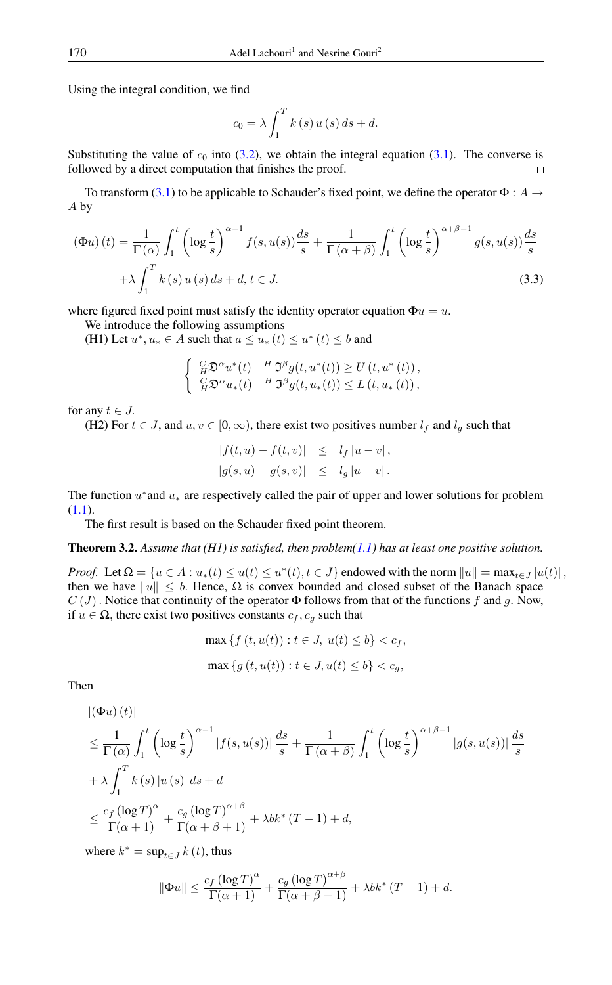Using the integral condition, we find

<span id="page-3-1"></span>
$$
c_0 = \lambda \int_1^T k(s) u(s) ds + d.
$$

Substituting the value of  $c_0$  into [\(3.2\)](#page-2-1), we obtain the integral equation [\(3.1\)](#page-2-2). The converse is followed by a direct computation that finishes the proof.  $\Box$ 

To transform [\(3.1\)](#page-2-2) to be applicable to Schauder's fixed point, we define the operator  $\Phi : A \rightarrow$ A by

$$
\left(\Phi u\right)(t) = \frac{1}{\Gamma(\alpha)} \int_{1}^{t} \left(\log \frac{t}{s}\right)^{\alpha - 1} f(s, u(s)) \frac{ds}{s} + \frac{1}{\Gamma(\alpha + \beta)} \int_{1}^{t} \left(\log \frac{t}{s}\right)^{\alpha + \beta - 1} g(s, u(s)) \frac{ds}{s}
$$

$$
+ \lambda \int_{1}^{T} k\left(s\right) u\left(s\right) ds + d, t \in J. \tag{3.3}
$$

where figured fixed point must satisfy the identity operator equation  $\Phi u = u$ .

We introduce the following assumptions

(H1) Let  $u^*, u_* \in A$  such that  $a \leq u_* (t) \leq u^* (t) \leq b$  and

$$
\begin{cases} G_H \mathfrak{D}^{\alpha} u^*(t) - H \mathfrak{I}^{\beta} g(t, u^*(t)) \ge U(t, u^*(t)), \\ G_H \mathfrak{D}^{\alpha} u_*(t) - H \mathfrak{I}^{\beta} g(t, u_*(t)) \le L(t, u_*(t)), \end{cases}
$$

for any  $t \in J$ .

(H2) For  $t \in J$ , and  $u, v \in [0, \infty)$ , there exist two positives number  $l_f$  and  $l_g$  such that

$$
|f(t, u) - f(t, v)| \leq l_f |u - v|,
$$
  

$$
|g(s, u) - g(s, v)| \leq l_g |u - v|.
$$

The function  $u^*$  and  $u_*$  are respectively called the pair of upper and lower solutions for problem  $(1.1).$  $(1.1).$ 

The first result is based on the Schauder fixed point theorem.

<span id="page-3-0"></span>Theorem 3.2. *Assume that (H1) is satisfied, then problem[\(1.1\)](#page-1-0) has at least one positive solution.*

*Proof.* Let  $\Omega = \{u \in A : u_*(t) \leq u(t) \leq u^*(t), t \in J\}$  endowed with the norm  $||u|| = \max_{t \in J} |u(t)|$ , then we have  $||u|| \leq b$ . Hence,  $\Omega$  is convex bounded and closed subset of the Banach space  $C(J)$ . Notice that continuity of the operator  $\Phi$  follows from that of the functions f and g. Now, if  $u \in \Omega$ , there exist two positives constants  $c_f, c_g$  such that

$$
\max \{ f(t, u(t)) : t \in J, \, u(t) \le b \} < c_f,
$$
\n
$$
\max \{ g(t, u(t)) : t \in J, u(t) \le b \} < c_g,
$$

Then

$$
\begin{split}\n&|\left(\Phi u\right)(t)| \\
&\leq \frac{1}{\Gamma(\alpha)} \int_{1}^{t} \left( \log \frac{t}{s} \right)^{\alpha - 1} |f(s, u(s))| \frac{ds}{s} + \frac{1}{\Gamma(\alpha + \beta)} \int_{1}^{t} \left( \log \frac{t}{s} \right)^{\alpha + \beta - 1} |g(s, u(s))| \frac{ds}{s} \\
&+ \lambda \int_{1}^{T} k(s) |u(s)| \, ds + d \\
&\leq \frac{c_f \left( \log T \right)^{\alpha}}{\Gamma(\alpha + 1)} + \frac{c_g \left( \log T \right)^{\alpha + \beta}}{\Gamma(\alpha + \beta + 1)} + \lambda b k^* \left( T - 1 \right) + d,\n\end{split}
$$

where  $k^* = \sup_{t \in J} k(t)$ , thus

$$
\|\Phi u\| \le \frac{c_f \left(\log T\right)^{\alpha}}{\Gamma(\alpha+1)} + \frac{c_g \left(\log T\right)^{\alpha+\beta}}{\Gamma(\alpha+\beta+1)} + \lambda b k^* \left(T-1\right) + d.
$$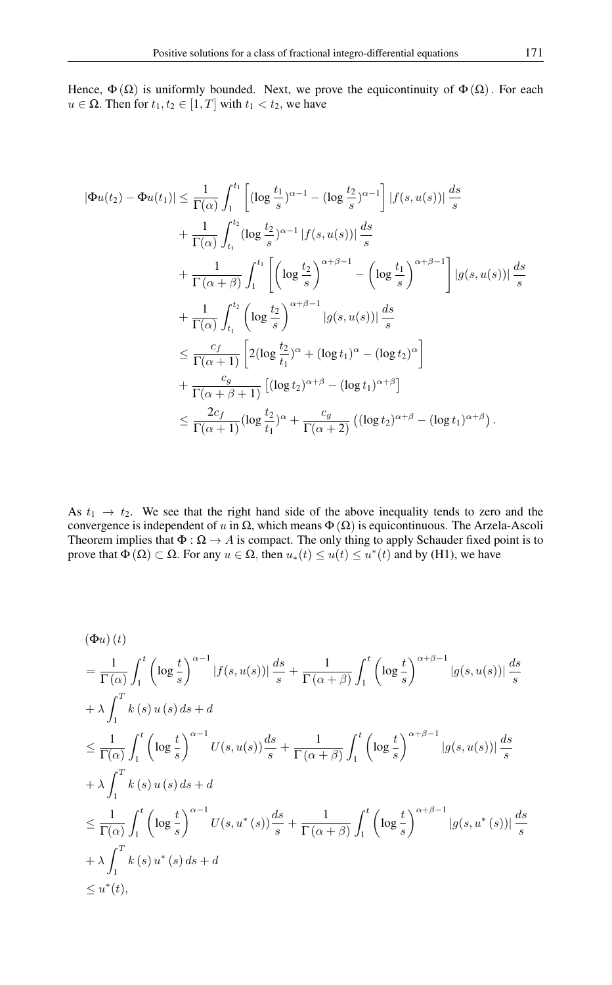Hence,  $\Phi(\Omega)$  is uniformly bounded. Next, we prove the equicontinuity of  $\Phi(\Omega)$ . For each  $u \in \Omega$ . Then for  $t_1, t_2 \in [1, T]$  with  $t_1 < t_2$ , we have

$$
|\Phi u(t_2) - \Phi u(t_1)| \leq \frac{1}{\Gamma(\alpha)} \int_1^{t_1} \left[ (\log \frac{t_1}{s})^{\alpha - 1} - (\log \frac{t_2}{s})^{\alpha - 1} \right] |f(s, u(s))| \frac{ds}{s}
$$
  
+ 
$$
\frac{1}{\Gamma(\alpha)} \int_{t_1}^{t_2} (\log \frac{t_2}{s})^{\alpha - 1} |f(s, u(s))| \frac{ds}{s}
$$
  
+ 
$$
\frac{1}{\Gamma(\alpha + \beta)} \int_1^{t_1} \left[ \left( \log \frac{t_2}{s} \right)^{\alpha + \beta - 1} - \left( \log \frac{t_1}{s} \right)^{\alpha + \beta - 1} \right] |g(s, u(s))| \frac{ds}{s}
$$
  
+ 
$$
\frac{1}{\Gamma(\alpha)} \int_{t_1}^{t_2} \left( \log \frac{t_2}{s} \right)^{\alpha + \beta - 1} |g(s, u(s))| \frac{ds}{s}
$$
  

$$
\leq \frac{c_f}{\Gamma(\alpha + 1)} \left[ 2(\log \frac{t_2}{t_1})^{\alpha} + (\log t_1)^{\alpha} - (\log t_2)^{\alpha} \right]
$$
  
+ 
$$
\frac{c_g}{\Gamma(\alpha + \beta + 1)} \left[ (\log t_2)^{\alpha + \beta} - (\log t_1)^{\alpha + \beta} \right]
$$
  

$$
\leq \frac{2c_f}{\Gamma(\alpha + 1)} (\log \frac{t_2}{t_1})^{\alpha} + \frac{c_g}{\Gamma(\alpha + 2)} \left( (\log t_2)^{\alpha + \beta} - (\log t_1)^{\alpha + \beta} \right).
$$

As  $t_1 \rightarrow t_2$ . We see that the right hand side of the above inequality tends to zero and the convergence is independent of *u* in Ω, which means  $\Phi(\Omega)$  is equicontinuous. The Arzela-Ascoli Theorem implies that  $\Phi : \Omega \to A$  is compact. The only thing to apply Schauder fixed point is to prove that  $\Phi(\Omega) \subset \Omega$ . For any  $u \in \Omega$ , then  $u_*(t) \le u(t) \le u^*(t)$  and by (H1), we have

$$
\begin{split}\n&\left(\Phi u\right)(t) \\
&= \frac{1}{\Gamma(\alpha)} \int_{1}^{t} \left( \log \frac{t}{s} \right)^{\alpha-1} |f(s, u(s))| \frac{ds}{s} + \frac{1}{\Gamma(\alpha+\beta)} \int_{1}^{t} \left( \log \frac{t}{s} \right)^{\alpha+\beta-1} |g(s, u(s))| \frac{ds}{s} \\
&+ \lambda \int_{1}^{T} k(s) u(s) ds + d \\
&\leq \frac{1}{\Gamma(\alpha)} \int_{1}^{t} \left( \log \frac{t}{s} \right)^{\alpha-1} U(s, u(s)) \frac{ds}{s} + \frac{1}{\Gamma(\alpha+\beta)} \int_{1}^{t} \left( \log \frac{t}{s} \right)^{\alpha+\beta-1} |g(s, u(s))| \frac{ds}{s} \\
&+ \lambda \int_{1}^{T} k(s) u(s) ds + d \\
&\leq \frac{1}{\Gamma(\alpha)} \int_{1}^{t} \left( \log \frac{t}{s} \right)^{\alpha-1} U(s, u^{*}(s)) \frac{ds}{s} + \frac{1}{\Gamma(\alpha+\beta)} \int_{1}^{t} \left( \log \frac{t}{s} \right)^{\alpha+\beta-1} |g(s, u^{*}(s))| \frac{ds}{s} \\
&+ \lambda \int_{1}^{T} k(s) u^{*}(s) ds + d \\
&\leq u^{*}(t),\n\end{split}
$$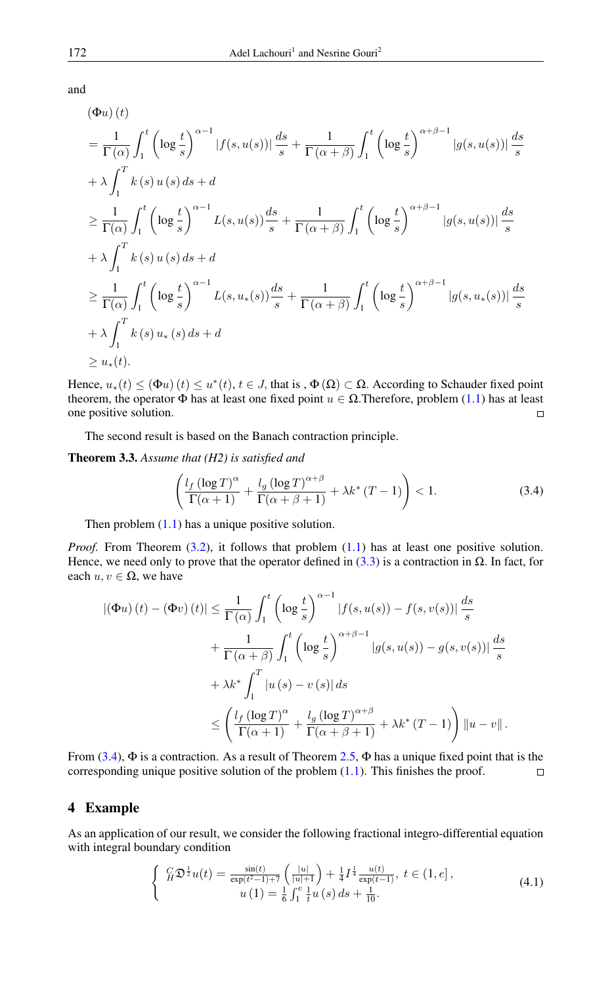and

$$
\begin{split}\n&\left(\Phi u\right)(t) \\
&= \frac{1}{\Gamma(\alpha)} \int_{1}^{t} \left( \log \frac{t}{s} \right)^{\alpha-1} |f(s, u(s))| \frac{ds}{s} + \frac{1}{\Gamma(\alpha+\beta)} \int_{1}^{t} \left( \log \frac{t}{s} \right)^{\alpha+\beta-1} |g(s, u(s))| \frac{ds}{s} \\
&+ \lambda \int_{1}^{T} k(s) u(s) ds + d \\
&\geq \frac{1}{\Gamma(\alpha)} \int_{1}^{t} \left( \log \frac{t}{s} \right)^{\alpha-1} L(s, u(s)) \frac{ds}{s} + \frac{1}{\Gamma(\alpha+\beta)} \int_{1}^{t} \left( \log \frac{t}{s} \right)^{\alpha+\beta-1} |g(s, u(s))| \frac{ds}{s} \\
&+ \lambda \int_{1}^{T} k(s) u(s) ds + d \\
&\geq \frac{1}{\Gamma(\alpha)} \int_{1}^{t} \left( \log \frac{t}{s} \right)^{\alpha-1} L(s, u_{*}(s)) \frac{ds}{s} + \frac{1}{\Gamma(\alpha+\beta)} \int_{1}^{t} \left( \log \frac{t}{s} \right)^{\alpha+\beta-1} |g(s, u_{*}(s))| \frac{ds}{s} \\
&+ \lambda \int_{1}^{T} k(s) u_{*}(s) ds + d \\
&\geq u_{*}(t).\n\end{split}
$$

Hence,  $u_*(t) \leq (\Phi u)(t) \leq u^*(t), t \in J$ , that is ,  $\Phi(\Omega) \subset \Omega$ . According to Schauder fixed point theorem, the operator  $\Phi$  has at least one fixed point  $u \in \Omega$ . Therefore, problem [\(1.1\)](#page-1-0) has at least one positive solution.  $\Box$ 

The second result is based on the Banach contraction principle.

<span id="page-5-2"></span>Theorem 3.3. *Assume that (H2) is satisfied and*

<span id="page-5-1"></span>
$$
\left(\frac{l_f\left(\log T\right)^{\alpha}}{\Gamma(\alpha+1)} + \frac{l_g\left(\log T\right)^{\alpha+\beta}}{\Gamma(\alpha+\beta+1)} + \lambda k^*\left(T-1\right)\right) < 1. \tag{3.4}
$$

Then problem  $(1.1)$  has a unique positive solution.

*Proof.* From Theorem [\(3.2\)](#page-3-0), it follows that problem [\(1.1\)](#page-1-0) has at least one positive solution. Hence, we need only to prove that the operator defined in  $(3.3)$  is a contraction in  $\Omega$ . In fact, for each  $u, v \in \Omega$ , we have

$$
\begin{split} \left| \left( \Phi u \right)(t) - \left( \Phi v \right)(t) \right| &\leq \frac{1}{\Gamma(\alpha)} \int_{1}^{t} \left( \log \frac{t}{s} \right)^{\alpha - 1} \left| f(s, u(s)) - f(s, v(s)) \right| \frac{ds}{s} \\ &+ \frac{1}{\Gamma(\alpha + \beta)} \int_{1}^{t} \left( \log \frac{t}{s} \right)^{\alpha + \beta - 1} \left| g(s, u(s)) - g(s, v(s)) \right| \frac{ds}{s} \\ &+ \lambda k^* \int_{1}^{T} \left| u(s) - v(s) \right| ds \\ &\leq \left( \frac{l_f \left( \log T \right)^{\alpha}}{\Gamma(\alpha + 1)} + \frac{l_g \left( \log T \right)^{\alpha + \beta}}{\Gamma(\alpha + \beta + 1)} + \lambda k^* \left( T - 1 \right) \right) \left\| u - v \right\|. \end{split}
$$

From [\(3.4\)](#page-5-1),  $\Phi$  is a contraction. As a result of Theorem [2.5,](#page-2-3)  $\Phi$  has a unique fixed point that is the corresponding unique positive solution of the problem  $(1.1)$ . This finishes the proof.  $\Box$ 

#### 4 Example

As an application of our result, we consider the following fractional integro-differential equation with integral boundary condition

<span id="page-5-0"></span>
$$
\begin{cases} G_H \mathfrak{D}^{\frac{1}{2}} u(t) = \frac{\sin(t)}{\exp(t^2 - 1) + 7} \left( \frac{|u|}{|u| + 1} \right) + \frac{1}{4} I^{\frac{1}{4}} \frac{u(t)}{\exp(t - 1)}, \ t \in (1, e],\\ u(1) = \frac{1}{6} \int_1^e \frac{1}{t} u(s) \, ds + \frac{1}{10} . \end{cases} \tag{4.1}
$$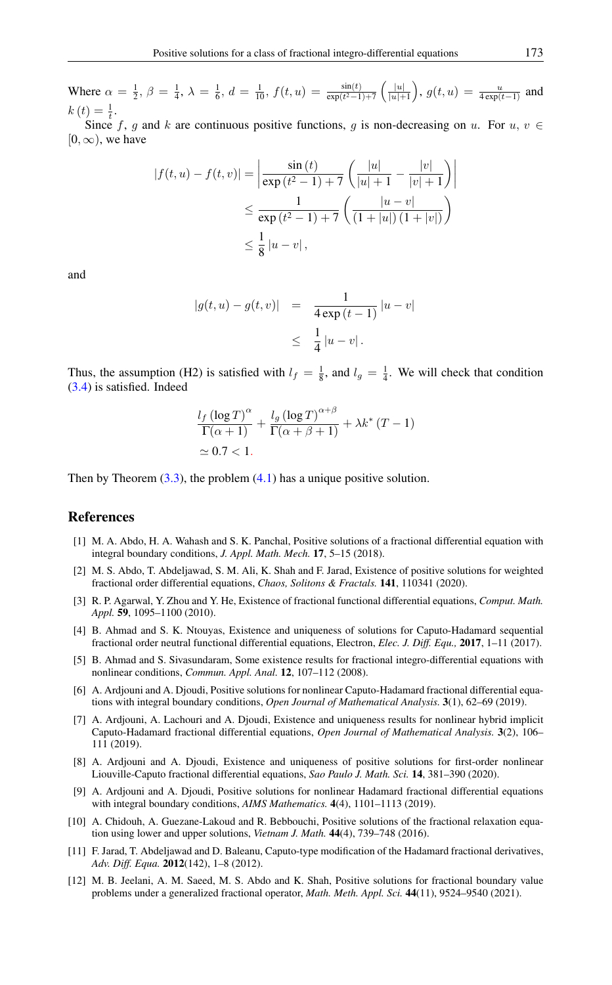Where  $\alpha = \frac{1}{2}, \beta = \frac{1}{4}, \lambda = \frac{1}{6}, d = \frac{1}{10}, f(t, u) = \frac{\sin(t)}{\exp(t^2 - 1) + 7} \left( \frac{|u|}{|u| + 1} \right)$  $\frac{|u|}{|u|+1}$ ),  $g(t,u) = \frac{u}{4\exp(t-1)}$  and  $k(t) = \frac{1}{t}.$ 

Since f, g and k are continuous positive functions, g is non-decreasing on u. For  $u, v \in$  $[0, \infty)$ , we have

$$
|f(t, u) - f(t, v)| = \left| \frac{\sin(t)}{\exp(t^2 - 1) + 7} \left( \frac{|u|}{|u| + 1} - \frac{|v|}{|v| + 1} \right) \right|
$$
  

$$
\leq \frac{1}{\exp(t^2 - 1) + 7} \left( \frac{|u - v|}{(1 + |u|)(1 + |v|)} \right)
$$
  

$$
\leq \frac{1}{8} |u - v|,
$$

and

$$
|g(t, u) - g(t, v)|
$$
 =  $\frac{1}{4 \exp(t - 1)} |u - v|$   
  $\leq \frac{1}{4} |u - v|$ .

Thus, the assumption (H2) is satisfied with  $l_f = \frac{1}{8}$ , and  $l_g = \frac{1}{4}$ . We will check that condition [\(3.4\)](#page-5-1) is satisfied. Indeed

$$
\frac{l_f (\log T)^{\alpha}}{\Gamma(\alpha+1)} + \frac{l_g (\log T)^{\alpha+\beta}}{\Gamma(\alpha+\beta+1)} + \lambda k^* (T-1)
$$
  
\approx 0.7 < 1.

Then by Theorem  $(3.3)$ , the problem  $(4.1)$  has a unique positive solution.

#### <span id="page-6-0"></span>References

- <span id="page-6-1"></span>[1] M. A. Abdo, H. A. Wahash and S. K. Panchal, Positive solutions of a fractional differential equation with integral boundary conditions, *J. Appl. Math. Mech.* 17, 5–15 (2018).
- [2] M. S. Abdo, T. Abdeljawad, S. M. Ali, K. Shah and F. Jarad, Existence of positive solutions for weighted fractional order differential equations, *Chaos, Solitons & Fractals.* 141, 110341 (2020).
- [3] R. P. Agarwal, Y. Zhou and Y. He, Existence of fractional functional differential equations, *Comput. Math. Appl.* 59, 1095–1100 (2010).
- [4] B. Ahmad and S. K. Ntouyas, Existence and uniqueness of solutions for Caputo-Hadamard sequential fractional order neutral functional differential equations, Electron, *Elec. J. Diff. Equ.,* 2017, 1–11 (2017).
- <span id="page-6-2"></span>[5] B. Ahmad and S. Sivasundaram, Some existence results for fractional integro-differential equations with nonlinear conditions, *Commun. Appl. Anal.* 12, 107–112 (2008).
- [6] A. Ardjouni and A. Djoudi, Positive solutions for nonlinear Caputo-Hadamard fractional differential equations with integral boundary conditions, *Open Journal of Mathematical Analysis.* 3(1), 62–69 (2019).
- [7] A. Ardjouni, A. Lachouri and A. Djoudi, Existence and uniqueness results for nonlinear hybrid implicit Caputo-Hadamard fractional differential equations, *Open Journal of Mathematical Analysis.* 3(2), 106– 111 (2019).
- [8] A. Ardjouni and A. Djoudi, Existence and uniqueness of positive solutions for first-order nonlinear Liouville-Caputo fractional differential equations, *Sao Paulo J. Math. Sci.* 14, 381–390 (2020).
- [9] A. Ardjouni and A. Djoudi, Positive solutions for nonlinear Hadamard fractional differential equations with integral boundary conditions, *AIMS Mathematics.* 4(4), 1101–1113 (2019).
- [10] A. Chidouh, A. Guezane-Lakoud and R. Bebbouchi, Positive solutions of the fractional relaxation equation using lower and upper solutions, *Vietnam J. Math.* 44(4), 739–748 (2016).
- <span id="page-6-3"></span>[11] F. Jarad, T. Abdeljawad and D. Baleanu, Caputo-type modification of the Hadamard fractional derivatives, *Adv. Diff. Equa.* 2012(142), 1–8 (2012).
- [12] M. B. Jeelani, A. M. Saeed, M. S. Abdo and K. Shah, Positive solutions for fractional boundary value problems under a generalized fractional operator, *Math. Meth. Appl. Sci.* 44(11), 9524–9540 (2021).